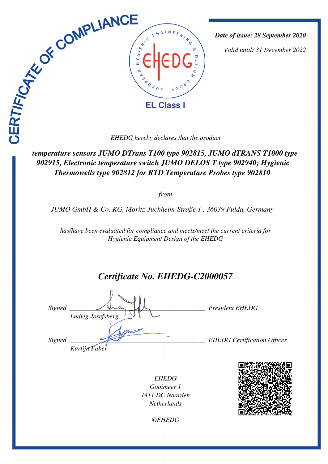

*Date of issue: 28 September 2020*

*Valid until: 31 December 2022*

 *temperature sensors JUMO DTrans T100 type 902815, JUMO dTRANS T1000 type 902915, Electronic temperature switch JUMO DELOS T type 902940; Hygienic Thermowells type 902812 for RTD Temperature Probes type 902810* 

*from*

*JUMO GmbH & Co. KG, Moritz-Juchheim-Straße 1 , 36039 Fulda, Germany* 

*has/have been evaluated for compliance and meets/meet the current criteria for Hygienic Equipment Design of the EHEDG*

# *Certificate No. EHEDG-C2000057*

*Signed \_\_\_\_\_\_\_\_\_\_\_\_\_\_\_\_\_\_\_\_\_\_\_\_\_\_\_\_\_\_\_\_\_\_\_\_\_\_\_\_\_ President EHEDG Ludvig Josefsberg Signed \_\_\_\_\_\_\_\_\_\_\_\_\_\_\_\_\_\_\_\_\_\_\_\_\_\_\_\_\_\_\_\_\_\_\_\_\_\_\_\_\_ EHEDG Certification Officer Karlijn Faber*

*EHEDG Gooimeer 1 1411 DC Naarden Netherlands*



*©EHEDG*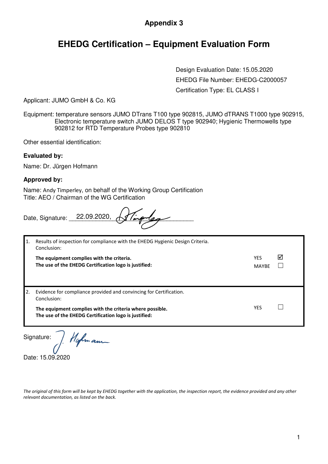### **Appendix 3**

### **EHEDG Certification – Equipment Evaluation Form**

Design Evaluation Date: 15.05.2020 EHEDG File Number: EHEDG-C2000057 Certification Type: EL CLASS I

Applicant: JUMO GmbH & Co. KG

Equipment: temperature sensors JUMO DTrans T100 type 902815, JUMO dTRANS T1000 type 902915, Electronic temperature switch JUMO DELOS T type 902940; Hygienic Thermowells type 902812 for RTD Temperature Probes type 902810

Other essential identification:

#### **Evaluated by:**

Name: Dr. Jürgen Hofmann

#### **Approved by:**

Name: Andy Timperley, on behalf of the Working Group Certification Title: AEO / Chairman of the WG Certification

|    | Date, Signature: 22.09.2020,                                                                                      |                            |   |
|----|-------------------------------------------------------------------------------------------------------------------|----------------------------|---|
| 1. | Results of inspection for compliance with the EHEDG Hygienic Design Criteria.<br>Conclusion:                      |                            |   |
|    | The equipment complies with the criteria.<br>The use of the EHEDG Certification logo is justified:                | <b>YES</b><br><b>MAYBE</b> | ☑ |
| 2. | Evidence for compliance provided and convincing for Certification.<br>Conclusion:                                 |                            |   |
|    | The equipment complies with the criteria where possible.<br>The use of the EHEDG Certification logo is justified: | YES                        |   |

Signature:

Hofman

Date: 15.09.2020

*The original of this form will be kept by EHEDG together with the application, the inspection report, the evidence provided and any other relevant documentation, as listed on the back.*